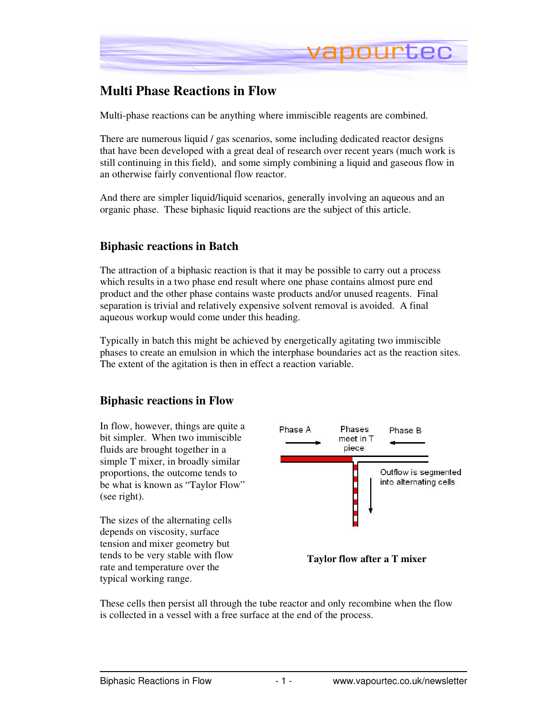

# **Multi Phase Reactions in Flow**

Multi-phase reactions can be anything where immiscible reagents are combined.

There are numerous liquid  $\ell$  gas scenarios, some including dedicated reactor designs that have been developed with a great deal of research over recent years (much work is still continuing in this field), and some simply combining a liquid and gaseous flow in an otherwise fairly conventional flow reactor.

And there are simpler liquid/liquid scenarios, generally involving an aqueous and an organic phase. These biphasic liquid reactions are the subject of this article.

### **Biphasic reactions in Batch**

The attraction of a biphasic reaction is that it may be possible to carry out a process which results in a two phase end result where one phase contains almost pure end product and the other phase contains waste products and/or unused reagents. Final separation is trivial and relatively expensive solvent removal is avoided. A final aqueous workup would come under this heading.

Typically in batch this might be achieved by energetically agitating two immiscible phases to create an emulsion in which the interphase boundaries act as the reaction sites. The extent of the agitation is then in effect a reaction variable.

#### **Biphasic reactions in Flow**

In flow, however, things are quite a bit simpler. When two immiscible fluids are brought together in a simple T mixer, in broadly similar proportions, the outcome tends to be what is known as "Taylor Flow" (see right).

The sizes of the alternating cells depends on viscosity, surface tension and mixer geometry but tends to be very stable with flow rate and temperature over the typical working range.



**Taylor flow after a T mixer**

These cells then persist all through the tube reactor and only recombine when the flow is collected in a vessel with a free surface at the end of the process.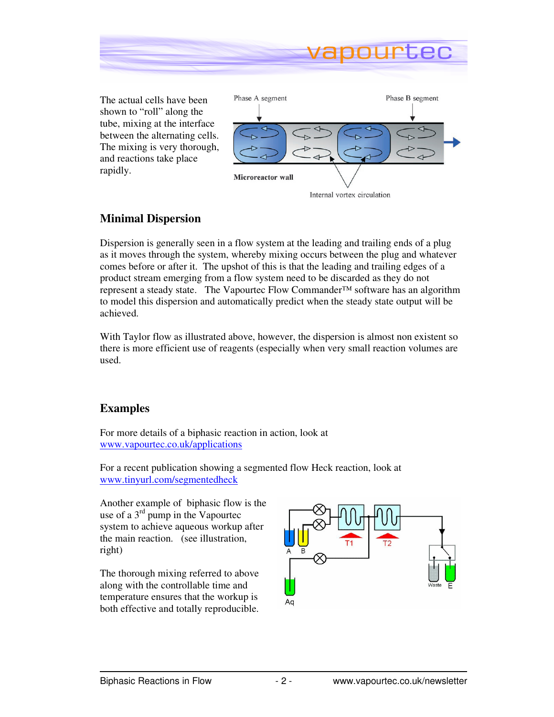

The actual cells have been shown to "roll" along the tube, mixing at the interface between the alternating cells. The mixing is very thorough, and reactions take place rapidly.



## **Minimal Dispersion**

Dispersion is generally seen in a flow system at the leading and trailing ends of a plug as it moves through the system, whereby mixing occurs between the plug and whatever comes before or after it. The upshot of this is that the leading and trailing edges of a product stream emerging from a flow system need to be discarded as they do not represent a steady state. The Vapourtec Flow Commander™ software has an algorithm to model this dispersion and automatically predict when the steady state output will be achieved.

With Taylor flow as illustrated above, however, the dispersion is almost non existent so there is more efficient use of reagents (especially when very small reaction volumes are used.

## **Examples**

For more details of a biphasic reaction in action, look at www.vapourtec.co.uk/applications

For a recent publication showing a segmented flow Heck reaction, look at www.tinyurl.com/segmentedheck

Another example of biphasic flow is the use of a 3rd pump in the Vapourtec system to achieve aqueous workup after the main reaction. (see illustration, right)

The thorough mixing referred to above along with the controllable time and temperature ensures that the workup is both effective and totally reproducible.